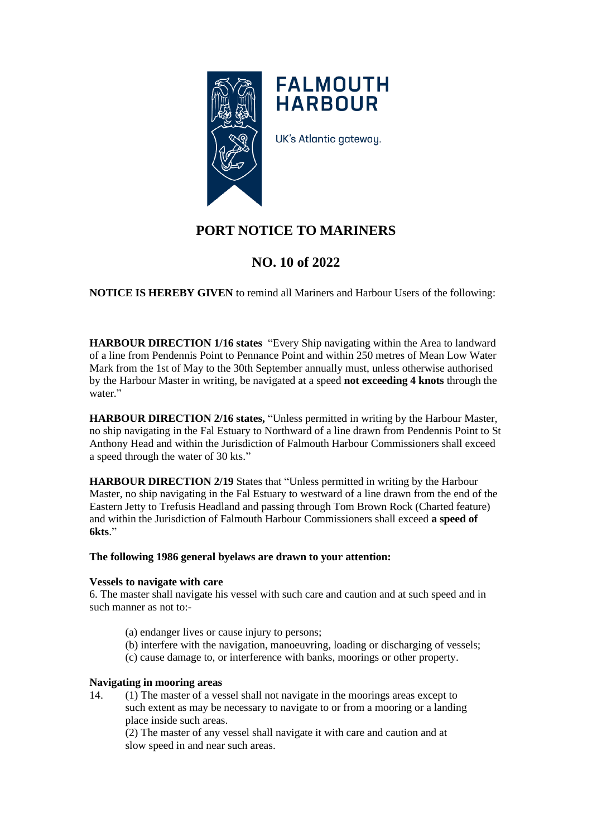

**FALMOUTH HARBOUR** 

UK's Atlantic gateway.

# **PORT NOTICE TO MARINERS**

## **NO. 10 of 2022**

**NOTICE IS HEREBY GIVEN** to remind all Mariners and Harbour Users of the following:

**HARBOUR DIRECTION 1/16 states** "Every Ship navigating within the Area to landward of a line from Pendennis Point to Pennance Point and within 250 metres of Mean Low Water Mark from the 1st of May to the 30th September annually must, unless otherwise authorised by the Harbour Master in writing, be navigated at a speed **not exceeding 4 knots** through the water."

**HARBOUR DIRECTION 2/16 states,** "Unless permitted in writing by the Harbour Master, no ship navigating in the Fal Estuary to Northward of a line drawn from Pendennis Point to St Anthony Head and within the Jurisdiction of Falmouth Harbour Commissioners shall exceed a speed through the water of 30 kts."

**HARBOUR DIRECTION 2/19** States that "Unless permitted in writing by the Harbour Master, no ship navigating in the Fal Estuary to westward of a line drawn from the end of the Eastern Jetty to Trefusis Headland and passing through Tom Brown Rock (Charted feature) and within the Jurisdiction of Falmouth Harbour Commissioners shall exceed **a speed of 6kts**."

## **The following 1986 general byelaws are drawn to your attention:**

#### **Vessels to navigate with care**

6. The master shall navigate his vessel with such care and caution and at such speed and in such manner as not to:-

- (a) endanger lives or cause injury to persons;
- (b) interfere with the navigation, manoeuvring, loading or discharging of vessels;
- (c) cause damage to, or interference with banks, moorings or other property.

### **Navigating in mooring areas**

14. (1) The master of a vessel shall not navigate in the moorings areas except to such extent as may be necessary to navigate to or from a mooring or a landing place inside such areas.

(2) The master of any vessel shall navigate it with care and caution and at slow speed in and near such areas.